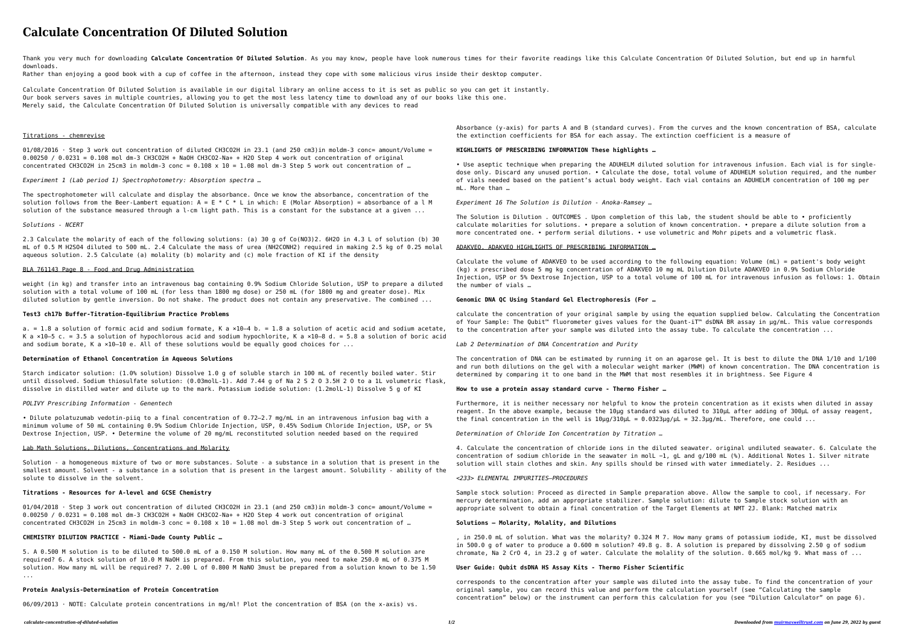# **Calculate Concentration Of Diluted Solution**

Thank you very much for downloading Calculate Concentration Of Diluted Solution. As you may know, people have look numerous times for their favorite readings like this Calculate Concentration Of Diluted Solution, but end u downloads.

Rather than enjoying a good book with a cup of coffee in the afternoon, instead they cope with some malicious virus inside their desktop computer.

Calculate Concentration Of Diluted Solution is available in our digital library an online access to it is set as public so you can get it instantly. Our book servers saves in multiple countries, allowing you to get the most less latency time to download any of our books like this one. Merely said, the Calculate Concentration Of Diluted Solution is universally compatible with any devices to read

# Titrations - chemrevise

 $01/08/2016$  · Step 3 work out concentration of diluted CH3CO2H in 23.1 (and 250 cm3)in moldm-3 conc= amount/Volume = 0.00250 / 0.0231 = 0.108 mol dm-3 CH3CO2H + NaOH CH3CO2-Na+ + H2O Step 4 work out concentration of original concentrated CH3CO2H in 25cm3 in moldm-3 conc =  $0.108 \times 10 = 1.08$  mol dm-3 Step 5 work out concentration of ...

*Experiment 1 (Lab period 1) Spectrophotometry: Absorption spectra …*

The spectrophotometer will calculate and display the absorbance. Once we know the absorbance, concentration of the solution follows from the Beer-Lambert equation:  $A = E * C * L$  in which: E (Molar Absorption) = absorbance of a l M solution of the substance measured through a l-cm light path. This is a constant for the substance at a given ...

# *Solutions - NCERT*

2.3 Calculate the molarity of each of the following solutions: (a) 30 g of Co(NO3)2. 6H2O in 4.3 L of solution (b) 30 mL of 0.5 M H2SO4 diluted to 500 mL. 2.4 Calculate the mass of urea (NH2CONH2) required in making 2.5 kg of 0.25 molal aqueous solution. 2.5 Calculate (a) molality (b) molarity and (c) mole fraction of KI if the density

# BLA 761143 Page 8 - Food and Drug Administration

weight (in kg) and transfer into an intravenous bag containing 0.9% Sodium Chloride Solution, USP to prepare a diluted solution with a total volume of 100 mL (for less than 1800 mg dose) or 250 mL (for 1800 mg and greater dose). Mix diluted solution by gentle inversion. Do not shake. The product does not contain any preservative. The combined ...

#### **Test3 ch17b Buffer-Titration-Equilibrium Practice Problems**

a. = 1.8 a solution of formic acid and sodium formate, K a  $\times 10-4$  b. = 1.8 a solution of acetic acid and sodium acetate, K a  $\times$ 10–5 c. = 3.5 a solution of hypochlorous acid and sodium hypochlorite, K a  $\times$ 10–8 d. = 5.8 a solution of boric acid and sodium borate, K a ×10-10 e. All of these solutions would be equally good choices for ...

#### **Determination of Ethanol Concentration in Aqueous Solutions**

Starch indicator solution: (1.0% solution) Dissolve 1.0 g of soluble starch in 100 mL of recently boiled water. Stir until dissolved. Sodium thiosulfate solution: (0.03molL-1). Add 7.44 g of Na 2 S 2 O 3.5H 2 O to a 1L volumetric flask, dissolve in distilled water and dilute up to the mark. Potassium iodide solution: (1.2molL-1) Dissolve 5 g of KI

# *POLIVY Prescribing Information - Genentech*

• Dilute polatuzumab vedotin-piiq to a final concentration of 0.72–2.7 mg/mL in an intravenous infusion bag with a minimum volume of 50 mL containing 0.9% Sodium Chloride Injection, USP, 0.45% Sodium Chloride Injection, USP, or 5% Dextrose Injection, USP. • Determine the volume of 20 mg/mL reconstituted solution needed based on the required

Furthermore, it is neither necessary nor helpful to know the protein concentration as it exists when diluted in assay reagent. In the above example, because the 10µg standard was diluted to 310µL after adding of 300µL of assay reagent, the final concentration in the well is  $10\mu$ g/310 $\mu$ L = 0.0323 $\mu$ g/ $\mu$ L = 32.3 $\mu$ g/mL. Therefore, one could ...

#### Lab Math Solutions, Dilutions, Concentrations and Molarity

Solution - a homogeneous mixture of two or more substances. Solute - a substance in a solution that is present in the smallest amount. Solvent - a substance in a solution that is present in the largest amount. Solubility - ability of the solute to dissolve in the solvent.

# **Titrations - Resources for A-level and GCSE Chemistry**

 $01/04/2018$  · Step 3 work out concentration of diluted CH3CO2H in 23.1 (and 250 cm3)in moldm-3 conc= amount/Volume = 0.00250 / 0.0231 = 0.108 mol dm-3 CH3CO2H + NaOH CH3CO2-Na+ + H2O Step 4 work out concentration of original concentrated CH3CO2H in 25cm3 in moldm-3 conc =  $0.108 \times 10 = 1.08$  mol dm-3 Step 5 work out concentration of ...

# **CHEMISTRY DILUTION PRACTICE - Miami-Dade County Public …**

5. A 0.500 M solution is to be diluted to 500.0 mL of a 0.150 M solution. How many mL of the 0.500 M solution are required? 6. A stock solution of 10.0 M NaOH is prepared. From this solution, you need to make 250.0 mL of 0.375 M solution. How many mL will be required? 7. 2.00 L of 0.800 M NaNO 3must be prepared from a solution known to be 1.50 ...

# **Protein Analysis-Determination of Protein Concentration**

06/09/2013 · NOTE: Calculate protein concentrations in mg/ml! Plot the concentration of BSA (on the x-axis) vs.

Absorbance (y-axis) for parts A and B (standard curves). From the curves and the known concentration of BSA, calculate the extinction coefficients for BSA for each assay. The extinction coefficient is a measure of

# **HIGHLIGHTS OF PRESCRIBING INFORMATION These highlights …**

• Use aseptic technique when preparing the ADUHELM diluted solution for intravenous infusion. Each vial is for singledose only. Discard any unused portion. • Calculate the dose, total volume of ADUHELM solution required, and the number of vials needed based on the patient's actual body weight. Each vial contains an ADUHELM concentration of 100 mg per mL. More than …

#### *Experiment 16 The Solution is Dilution - Anoka-Ramsey …*

The Solution is Dilution . OUTCOMES . Upon completion of this lab, the student should be able to • proficiently calculate molarities for solutions. • prepare a solution of known concentration. • prepare a dilute solution from a more concentrated one. • perform serial dilutions. • use volumetric and Mohr pipets and a volumetric flask.

# ADAKVEO. ADAKVEO HIGHLIGHTS OF PRESCRIBING INFORMATION …

Calculate the volume of ADAKVEO to be used according to the following equation: Volume (mL) = patient's body weight (kg) x prescribed dose 5 mg kg concentration of ADAKVEO 10 mg mL Dilution Dilute ADAKVEO in 0.9% Sodium Chloride Injection, USP or 5% Dextrose Injection, USP to a total volume of 100 mL for intravenous infusion as follows: 1. Obtain the number of vials …

#### **Genomic DNA QC Using Standard Gel Electrophoresis (For …**

calculate the concentration of your original sample by using the equation supplied below. Calculating the Concentration of Your Sample: The Qubit™ fluorometer gives values for the Quant-iT™ dsDNA BR assay in µg/mL. This value corresponds to the concentration after your sample was diluted into the assay tube. To calculate the concentration ...

#### *Lab 2 Determination of DNA Concentration and Purity*

The concentration of DNA can be estimated by running it on an agarose gel. It is best to dilute the DNA 1/10 and 1/100 and run both dilutions on the gel with a molecular weight marker (MWM) of known concentration. The DNA concentration is determined by comparing it to one band in the MWM that most resembles it in brightness. See Figure 4

#### **How to use a protein assay standard curve - Thermo Fisher …**

#### *Determination of Chloride Ion Concentration by Titration …*

4. Calculate the concentration of chloride ions in the diluted seawater. original undiluted seawater. 6. Calculate the concentration of sodium chloride in the seawater in molL −1, gL and g/100 mL (%). Additional Notes 1. Silver nitrate solution will stain clothes and skin. Any spills should be rinsed with water immediately. 2. Residues ...

#### *<233> ELEMENTAL IMPURITIES—PROCEDURES*

Sample stock solution: Proceed as directed in Sample preparation above. Allow the sample to cool, if necessary. For mercury determination, add an appropriate stabilizer. Sample solution: dilute to Sample stock solution with an appropriate solvent to obtain a final concentration of the Target Elements at NMT 2J. Blank: Matched matrix

# **Solutions – Molarity, Molality, and Dilutions**

, in 250.0 mL of solution. What was the molarity? 0.324 M 7. How many grams of potassium iodide, KI, must be dissolved in 500.0 g of water to produce a 0.600 m solution? 49.8 g. 8. A solution is prepared by dissolving 2.50 g of sodium chromate, Na 2 CrO 4, in 23.2 g of water. Calculate the molality of the solution. 0.665 mol/kg 9. What mass of ...

#### **User Guide: Qubit dsDNA HS Assay Kits - Thermo Fisher Scientific**

corresponds to the concentration after your sample was diluted into the assay tube. To find the concentration of your original sample, you can record this value and perform the calculation yourself (see "Calculating the sample concentration" below) or the instrument can perform this calculation for you (see "Dilution Calculator" on page 6).